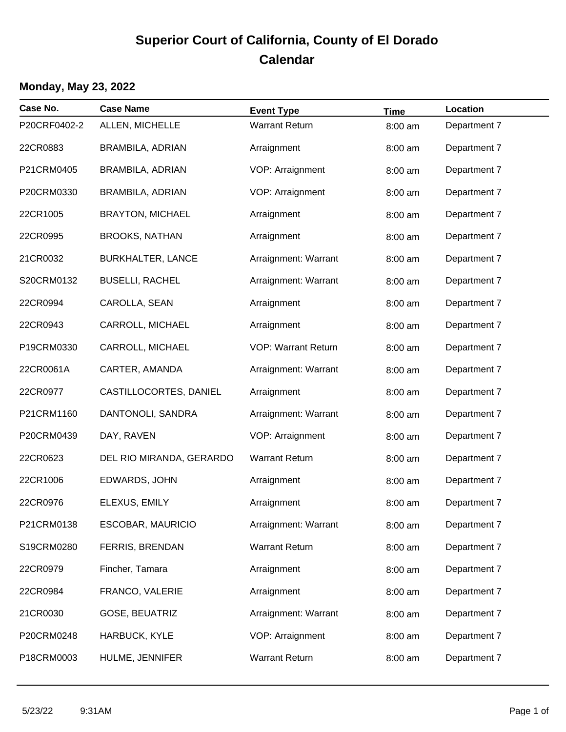| Case No.     | <b>Case Name</b>         | <b>Event Type</b>          | <b>Time</b> | Location     |
|--------------|--------------------------|----------------------------|-------------|--------------|
| P20CRF0402-2 | ALLEN, MICHELLE          | <b>Warrant Return</b>      | 8:00 am     | Department 7 |
| 22CR0883     | BRAMBILA, ADRIAN         | Arraignment                | 8:00 am     | Department 7 |
| P21CRM0405   | BRAMBILA, ADRIAN         | VOP: Arraignment           | 8:00 am     | Department 7 |
| P20CRM0330   | BRAMBILA, ADRIAN         | VOP: Arraignment           | 8:00 am     | Department 7 |
| 22CR1005     | <b>BRAYTON, MICHAEL</b>  | Arraignment                | 8:00 am     | Department 7 |
| 22CR0995     | <b>BROOKS, NATHAN</b>    | Arraignment                | 8:00 am     | Department 7 |
| 21CR0032     | <b>BURKHALTER, LANCE</b> | Arraignment: Warrant       | 8:00 am     | Department 7 |
| S20CRM0132   | <b>BUSELLI, RACHEL</b>   | Arraignment: Warrant       | 8:00 am     | Department 7 |
| 22CR0994     | CAROLLA, SEAN            | Arraignment                | 8:00 am     | Department 7 |
| 22CR0943     | CARROLL, MICHAEL         | Arraignment                | 8:00 am     | Department 7 |
| P19CRM0330   | CARROLL, MICHAEL         | <b>VOP: Warrant Return</b> | 8:00 am     | Department 7 |
| 22CR0061A    | CARTER, AMANDA           | Arraignment: Warrant       | 8:00 am     | Department 7 |
| 22CR0977     | CASTILLOCORTES, DANIEL   | Arraignment                | 8:00 am     | Department 7 |
| P21CRM1160   | DANTONOLI, SANDRA        | Arraignment: Warrant       | 8:00 am     | Department 7 |
| P20CRM0439   | DAY, RAVEN               | VOP: Arraignment           | 8:00 am     | Department 7 |
| 22CR0623     | DEL RIO MIRANDA, GERARDO | <b>Warrant Return</b>      | 8:00 am     | Department 7 |
| 22CR1006     | EDWARDS, JOHN            | Arraignment                | 8:00 am     | Department 7 |
| 22CR0976     | ELEXUS, EMILY            | Arraignment                | 8:00 am     | Department 7 |
| P21CRM0138   | <b>ESCOBAR, MAURICIO</b> | Arraignment: Warrant       | 8:00 am     | Department 7 |
| S19CRM0280   | FERRIS, BRENDAN          | <b>Warrant Return</b>      | 8:00 am     | Department 7 |
| 22CR0979     | Fincher, Tamara          | Arraignment                | 8:00 am     | Department 7 |
| 22CR0984     | FRANCO, VALERIE          | Arraignment                | 8:00 am     | Department 7 |
| 21CR0030     | GOSE, BEUATRIZ           | Arraignment: Warrant       | 8:00 am     | Department 7 |
| P20CRM0248   | HARBUCK, KYLE            | VOP: Arraignment           | 8:00 am     | Department 7 |
| P18CRM0003   | HULME, JENNIFER          | <b>Warrant Return</b>      | 8:00 am     | Department 7 |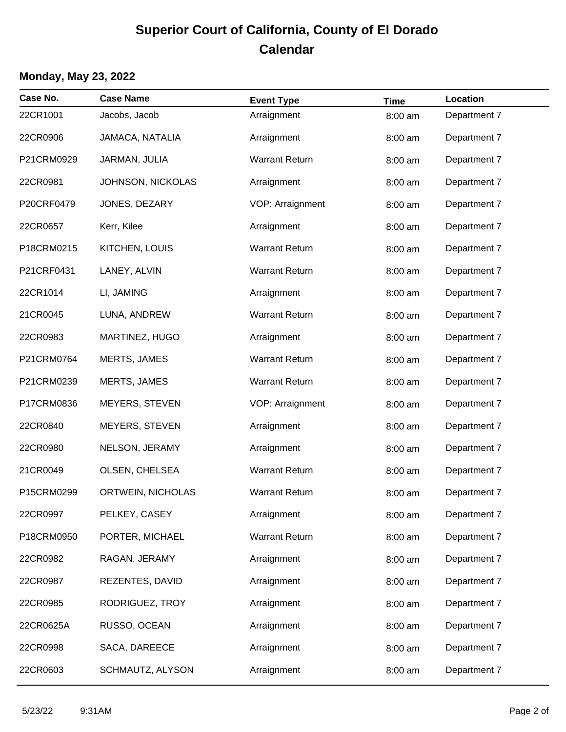| Case No.   | <b>Case Name</b>         | <b>Event Type</b>     | <b>Time</b> | Location     |
|------------|--------------------------|-----------------------|-------------|--------------|
| 22CR1001   | Jacobs, Jacob            | Arraignment           | 8:00 am     | Department 7 |
| 22CR0906   | JAMACA, NATALIA          | Arraignment           | 8:00 am     | Department 7 |
| P21CRM0929 | JARMAN, JULIA            | <b>Warrant Return</b> | 8:00 am     | Department 7 |
| 22CR0981   | <b>JOHNSON, NICKOLAS</b> | Arraignment           | 8:00 am     | Department 7 |
| P20CRF0479 | JONES, DEZARY            | VOP: Arraignment      | 8:00 am     | Department 7 |
| 22CR0657   | Kerr, Kilee              | Arraignment           | 8:00 am     | Department 7 |
| P18CRM0215 | KITCHEN, LOUIS           | <b>Warrant Return</b> | 8:00 am     | Department 7 |
| P21CRF0431 | LANEY, ALVIN             | <b>Warrant Return</b> | 8:00 am     | Department 7 |
| 22CR1014   | LI, JAMING               | Arraignment           | 8:00 am     | Department 7 |
| 21CR0045   | LUNA, ANDREW             | <b>Warrant Return</b> | 8:00 am     | Department 7 |
| 22CR0983   | MARTINEZ, HUGO           | Arraignment           | 8:00 am     | Department 7 |
| P21CRM0764 | <b>MERTS, JAMES</b>      | <b>Warrant Return</b> | 8:00 am     | Department 7 |
| P21CRM0239 | <b>MERTS, JAMES</b>      | <b>Warrant Return</b> | 8:00 am     | Department 7 |
| P17CRM0836 | MEYERS, STEVEN           | VOP: Arraignment      | 8:00 am     | Department 7 |
| 22CR0840   | MEYERS, STEVEN           | Arraignment           | 8:00 am     | Department 7 |
| 22CR0980   | NELSON, JERAMY           | Arraignment           | 8:00 am     | Department 7 |
| 21CR0049   | OLSEN, CHELSEA           | <b>Warrant Return</b> | 8:00 am     | Department 7 |
| P15CRM0299 | ORTWEIN, NICHOLAS        | <b>Warrant Return</b> | 8:00 am     | Department 7 |
| 22CR0997   | PELKEY, CASEY            | Arraignment           | 8:00 am     | Department 7 |
| P18CRM0950 | PORTER, MICHAEL          | <b>Warrant Return</b> | 8:00 am     | Department 7 |
| 22CR0982   | RAGAN, JERAMY            | Arraignment           | 8:00 am     | Department 7 |
| 22CR0987   | REZENTES, DAVID          | Arraignment           | 8:00 am     | Department 7 |
| 22CR0985   | RODRIGUEZ, TROY          | Arraignment           | 8:00 am     | Department 7 |
| 22CR0625A  | RUSSO, OCEAN             | Arraignment           | 8:00 am     | Department 7 |
| 22CR0998   | SACA, DAREECE            | Arraignment           | 8:00 am     | Department 7 |
| 22CR0603   | SCHMAUTZ, ALYSON         | Arraignment           | 8:00 am     | Department 7 |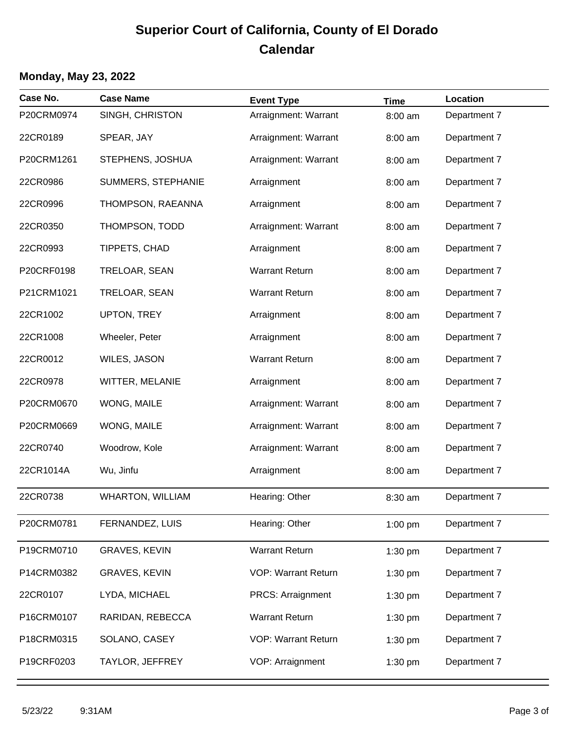| Case No.   | <b>Case Name</b>        | <b>Event Type</b>          | <b>Time</b> | Location     |
|------------|-------------------------|----------------------------|-------------|--------------|
| P20CRM0974 | SINGH, CHRISTON         | Arraignment: Warrant       | 8:00 am     | Department 7 |
| 22CR0189   | SPEAR, JAY              | Arraignment: Warrant       | 8:00 am     | Department 7 |
| P20CRM1261 | STEPHENS, JOSHUA        | Arraignment: Warrant       | 8:00 am     | Department 7 |
| 22CR0986   | SUMMERS, STEPHANIE      | Arraignment                | 8:00 am     | Department 7 |
| 22CR0996   | THOMPSON, RAEANNA       | Arraignment                | 8:00 am     | Department 7 |
| 22CR0350   | THOMPSON, TODD          | Arraignment: Warrant       | 8:00 am     | Department 7 |
| 22CR0993   | TIPPETS, CHAD           | Arraignment                | 8:00 am     | Department 7 |
| P20CRF0198 | TRELOAR, SEAN           | <b>Warrant Return</b>      | 8:00 am     | Department 7 |
| P21CRM1021 | TRELOAR, SEAN           | <b>Warrant Return</b>      | 8:00 am     | Department 7 |
| 22CR1002   | UPTON, TREY             | Arraignment                | 8:00 am     | Department 7 |
| 22CR1008   | Wheeler, Peter          | Arraignment                | 8:00 am     | Department 7 |
| 22CR0012   | WILES, JASON            | <b>Warrant Return</b>      | 8:00 am     | Department 7 |
| 22CR0978   | WITTER, MELANIE         | Arraignment                | 8:00 am     | Department 7 |
| P20CRM0670 | WONG, MAILE             | Arraignment: Warrant       | 8:00 am     | Department 7 |
| P20CRM0669 | WONG, MAILE             | Arraignment: Warrant       | 8:00 am     | Department 7 |
| 22CR0740   | Woodrow, Kole           | Arraignment: Warrant       | 8:00 am     | Department 7 |
| 22CR1014A  | Wu, Jinfu               | Arraignment                | 8:00 am     | Department 7 |
| 22CR0738   | <b>WHARTON, WILLIAM</b> | Hearing: Other             | 8:30 am     | Department 7 |
| P20CRM0781 | FERNANDEZ, LUIS         | Hearing: Other             | 1:00 pm     | Department 7 |
| P19CRM0710 | <b>GRAVES, KEVIN</b>    | <b>Warrant Return</b>      | 1:30 pm     | Department 7 |
| P14CRM0382 | <b>GRAVES, KEVIN</b>    | <b>VOP: Warrant Return</b> | 1:30 pm     | Department 7 |
| 22CR0107   | LYDA, MICHAEL           | <b>PRCS: Arraignment</b>   | 1:30 pm     | Department 7 |
| P16CRM0107 | RARIDAN, REBECCA        | <b>Warrant Return</b>      | 1:30 pm     | Department 7 |
| P18CRM0315 | SOLANO, CASEY           | <b>VOP: Warrant Return</b> | 1:30 pm     | Department 7 |
| P19CRF0203 | TAYLOR, JEFFREY         | VOP: Arraignment           | 1:30 pm     | Department 7 |